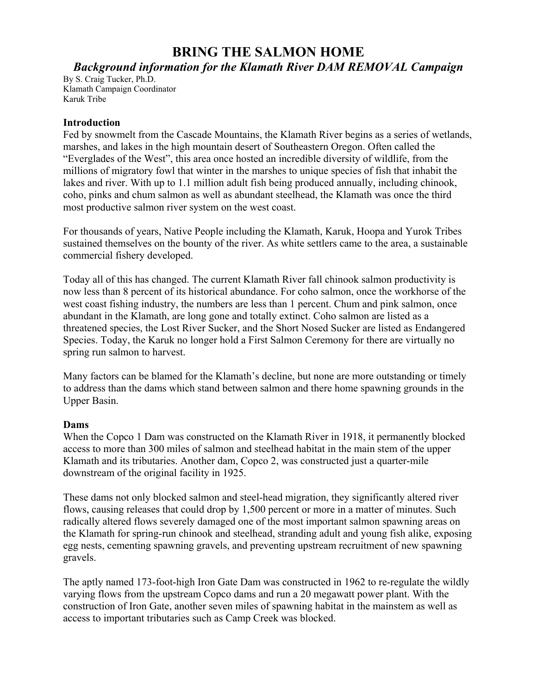# **BRING THE SALMON HOME**

## *Background information for the Klamath River DAM REMOVAL Campaign*

By S. Craig Tucker, Ph.D. Klamath Campaign Coordinator Karuk Tribe

#### **Introduction**

Fed by snowmelt from the Cascade Mountains, the Klamath River begins as a series of wetlands, marshes, and lakes in the high mountain desert of Southeastern Oregon. Often called the "Everglades of the West", this area once hosted an incredible diversity of wildlife, from the millions of migratory fowl that winter in the marshes to unique species of fish that inhabit the lakes and river. With up to 1.1 million adult fish being produced annually, including chinook, coho, pinks and chum salmon as well as abundant steelhead, the Klamath was once the third most productive salmon river system on the west coast.

For thousands of years, Native People including the Klamath, Karuk, Hoopa and Yurok Tribes sustained themselves on the bounty of the river. As white settlers came to the area, a sustainable commercial fishery developed.

Today all of this has changed. The current Klamath River fall chinook salmon productivity is now less than 8 percent of its historical abundance. For coho salmon, once the workhorse of the west coast fishing industry, the numbers are less than 1 percent. Chum and pink salmon, once abundant in the Klamath, are long gone and totally extinct. Coho salmon are listed as a threatened species, the Lost River Sucker, and the Short Nosed Sucker are listed as Endangered Species. Today, the Karuk no longer hold a First Salmon Ceremony for there are virtually no spring run salmon to harvest.

Many factors can be blamed for the Klamath's decline, but none are more outstanding or timely to address than the dams which stand between salmon and there home spawning grounds in the Upper Basin.

#### **Dams**

When the Copco 1 Dam was constructed on the Klamath River in 1918, it permanently blocked access to more than 300 miles of salmon and steelhead habitat in the main stem of the upper Klamath and its tributaries. Another dam, Copco 2, was constructed just a quarter-mile downstream of the original facility in 1925.

These dams not only blocked salmon and steel-head migration, they significantly altered river flows, causing releases that could drop by 1,500 percent or more in a matter of minutes. Such radically altered flows severely damaged one of the most important salmon spawning areas on the Klamath for spring-run chinook and steelhead, stranding adult and young fish alike, exposing egg nests, cementing spawning gravels, and preventing upstream recruitment of new spawning gravels.

The aptly named 173-foot-high Iron Gate Dam was constructed in 1962 to re-regulate the wildly varying flows from the upstream Copco dams and run a 20 megawatt power plant. With the construction of Iron Gate, another seven miles of spawning habitat in the mainstem as well as access to important tributaries such as Camp Creek was blocked.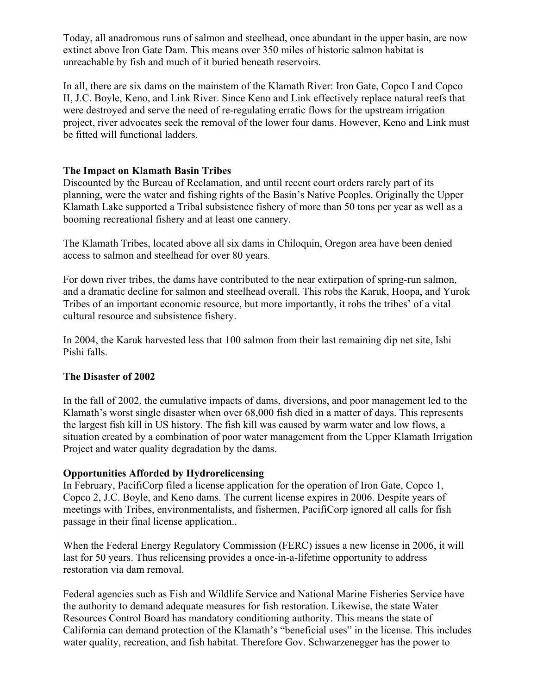Today, all anadromous runs of salmon and steelhead, once abundant in the upper basin, are now extinct above Iron Gate Dam. This means over 350 miles of historic salmon habitat is unreachable by fish and much of it buried beneath reservoirs.

In all, there are six dams on the mainstem of the Klamath River: Iron Gate, Copco I and Copco II, J.C. Boyle, Keno, and Link River. Since Keno and Link effectively replace natural reefs that were destroyed and serve the need of re-regulating erratic flows for the upstream irrigation project, river advocates seek the removal of the lower four dams. However, Keno and Link must be fitted will functional ladders.

### **The Impact on Klamath Basin Tribes**

Discounted by the Bureau of Reclamation, and until recent court orders rarely part of its planning, were the water and fishing rights of the Basin's Native Peoples. Originally the Upper Klamath Lake supported a Tribal subsistence fishery of more than 50 tons per year as well as a booming recreational fishery and at least one cannery.

The Klamath Tribes, located above all six dams in Chiloquin, Oregon area have been denied access to salmon and steelhead for over 80 years.

For down river tribes, the dams have contributed to the near extirpation of spring-run salmon, and a dramatic decline for salmon and steelhead overall. This robs the Karuk, Hoopa, and Yurok Tribes of an important economic resource, but more importantly, it robs the tribes' of a vital cultural resource and subsistence fishery.

In 2004, the Karuk harvested less that 100 salmon from their last remaining dip net site, Ishi Pishi falls.

#### **The Disaster of 2002**

In the fall of 2002, the cumulative impacts of dams, diversions, and poor management led to the Klamath's worst single disaster when over 68,000 fish died in a matter of days. This represents the largest fish kill in US history. The fish kill was caused by warm water and low flows, a situation created by a combination of poor water management from the Upper Klamath Irrigation Project and water quality degradation by the dams.

## **Opportunities Afforded by Hydrorelicensing**

In February, PacifiCorp filed a license application for the operation of Iron Gate, Copco 1, Copco 2, J.C. Boyle, and Keno dams. The current license expires in 2006. Despite years of meetings with Tribes, environmentalists, and fishermen, PacifiCorp ignored all calls for fish passage in their final license application..

When the Federal Energy Regulatory Commission (FERC) issues a new license in 2006, it will last for 50 years. Thus relicensing provides a once-in-a-lifetime opportunity to address restoration via dam removal.

Federal agencies such as Fish and Wildlife Service and National Marine Fisheries Service have the authority to demand adequate measures for fish restoration. Likewise, the state Water Resources Control Board has mandatory conditioning authority. This means the state of California can demand protection of the Klamath's "beneficial uses" in the license. This includes water quality, recreation, and fish habitat. Therefore Gov. Schwarzenegger has the power to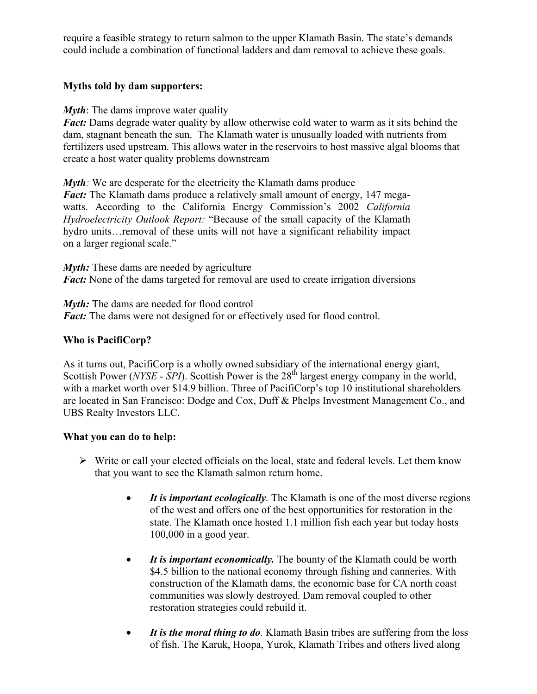require a feasible strategy to return salmon to the upper Klamath Basin. The state's demands could include a combination of functional ladders and dam removal to achieve these goals.

### **Myths told by dam supporters:**

*Myth*: The dams improve water quality

*Fact:* Dams degrade water quality by allow otherwise cold water to warm as it sits behind the dam, stagnant beneath the sun. The Klamath water is unusually loaded with nutrients from fertilizers used upstream. This allows water in the reservoirs to host massive algal blooms that create a host water quality problems downstream

*Myth*: We are desperate for the electricity the Klamath dams produce *Fact:* The Klamath dams produce a relatively small amount of energy, 147 megawatts. According to the California Energy Commission's 2002 *California Hydroelectricity Outlook Report:* "Because of the small capacity of the Klamath hydro units…removal of these units will not have a significant reliability impact on a larger regional scale."

*Myth*: These dams are needed by agriculture *Fact:* None of the dams targeted for removal are used to create irrigation diversions

*Myth:* The dams are needed for flood control *Fact:* The dams were not designed for or effectively used for flood control.

## **Who is PacifiCorp?**

As it turns out, PacifiCorp is a wholly owned subsidiary of the international energy giant, Scottish Power (*NYSE - SPI*). Scottish Power is the 28<sup>th</sup> largest energy company in the world, with a market worth over \$14.9 billion. Three of PacifiCorp's top 10 institutional shareholders are located in San Francisco: Dodge and Cox, Duff & Phelps Investment Management Co., and UBS Realty Investors LLC.

## **What you can do to help:**

- $\triangleright$  Write or call your elected officials on the local, state and federal levels. Let them know that you want to see the Klamath salmon return home.
	- It is *important ecologically*. The Klamath is one of the most diverse regions of the west and offers one of the best opportunities for restoration in the state. The Klamath once hosted 1.1 million fish each year but today hosts 100,000 in a good year.
	- It is *important economically*. The bounty of the Klamath could be worth \$4.5 billion to the national economy through fishing and canneries. With construction of the Klamath dams, the economic base for CA north coast communities was slowly destroyed. Dam removal coupled to other restoration strategies could rebuild it.
	- *It is the moral thing to do.* Klamath Basin tribes are suffering from the loss of fish. The Karuk, Hoopa, Yurok, Klamath Tribes and others lived along